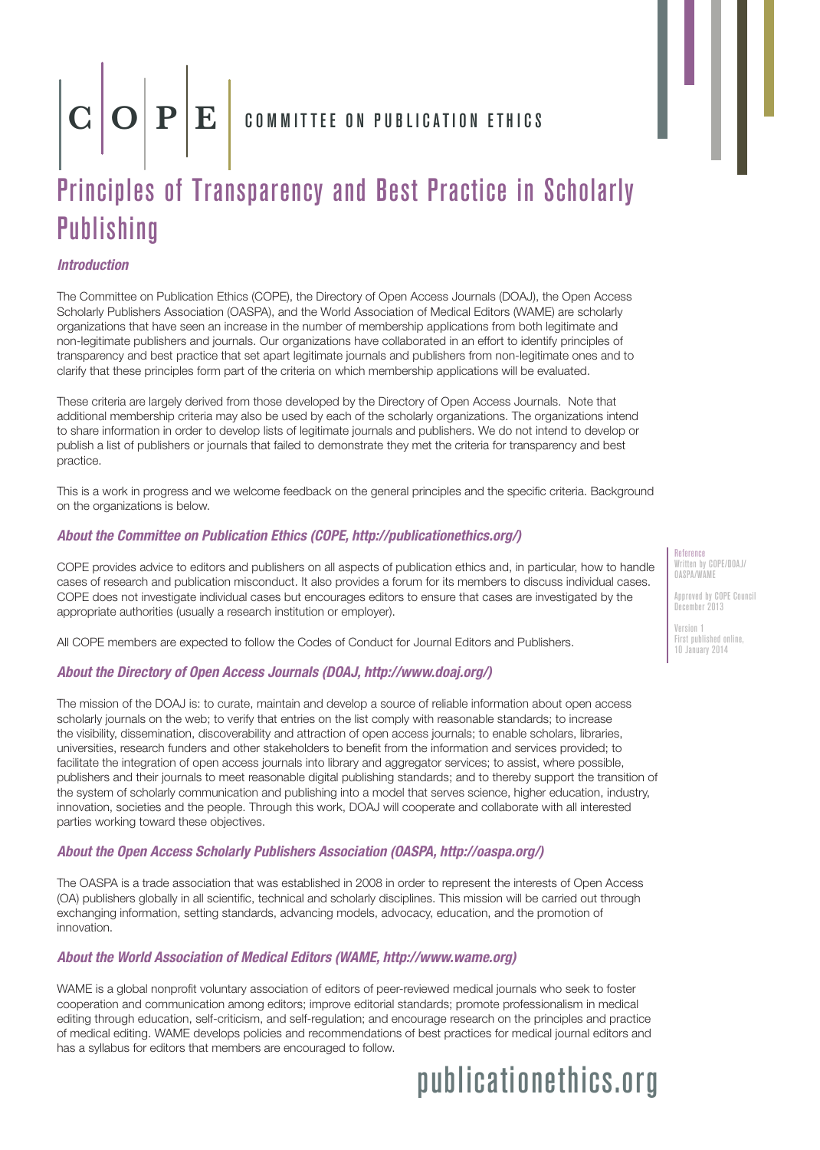# $\mathbf{C}\left|\mathbf{O}\right|\mathbf{P}\left|\mathbf{E}\right|$  committee on publication ethics

### Principles of Transparency and Best Practice in Scholarly **Publishing**

#### *Introduction*

The Committee on Publication Ethics (COPE), the Directory of Open Access Journals (DOAJ), the Open Access Scholarly Publishers Association (OASPA), and the World Association of Medical Editors (WAME) are scholarly organizations that have seen an increase in the number of membership applications from both legitimate and non-legitimate publishers and journals. Our organizations have collaborated in an effort to identify principles of transparency and best practice that set apart legitimate journals and publishers from non-legitimate ones and to clarify that these principles form part of the criteria on which membership applications will be evaluated.

These criteria are largely derived from those developed by the Directory of Open Access Journals. Note that additional membership criteria may also be used by each of the scholarly organizations. The organizations intend to share information in order to develop lists of legitimate journals and publishers. We do not intend to develop or publish a list of publishers or journals that failed to demonstrate they met the criteria for transparency and best practice.

This is a work in progress and we welcome feedback on the general principles and the specific criteria. Background on the organizations is below.

#### *About the Committee on Publication Ethics (COPE, http://publicationethics.org/)*

COPE provides advice to editors and publishers on all aspects of publication ethics and, in particular, how to handle cases of research and publication misconduct. It also provides a forum for its members to discuss individual cases. COPE does not investigate individual cases but encourages editors to ensure that cases are investigated by the appropriate authorities (usually a research institution or employer).

All COPE members are expected to follow the Codes of Conduct for Journal Editors and Publishers.

#### *About the Directory of Open Access Journals (DOAJ, http://www.doaj.org/)*

The mission of the DOAJ is: to curate, maintain and develop a source of reliable information about open access scholarly journals on the web; to verify that entries on the list comply with reasonable standards; to increase the visibility, dissemination, discoverability and attraction of open access journals; to enable scholars, libraries, universities, research funders and other stakeholders to benefit from the information and services provided; to facilitate the integration of open access journals into library and aggregator services; to assist, where possible, publishers and their journals to meet reasonable digital publishing standards; and to thereby support the transition of the system of scholarly communication and publishing into a model that serves science, higher education, industry, innovation, societies and the people. Through this work, DOAJ will cooperate and collaborate with all interested parties working toward these objectives.

#### *About the Open Access Scholarly Publishers Association (OASPA, http://oaspa.org/)*

The OASPA is a trade association that was established in 2008 in order to represent the interests of Open Access (OA) publishers globally in all scientific, technical and scholarly disciplines. This mission will be carried out through exchanging information, setting standards, advancing models, advocacy, education, and the promotion of innovation.

#### *About the World Association of Medical Editors (WAME, http://www.wame.org)*

WAME is a global nonprofit voluntary association of editors of peer-reviewed medical journals who seek to foster cooperation and communication among editors; improve editorial standards; promote professionalism in medical editing through education, self-criticism, and self-regulation; and encourage research on the principles and practice of medical editing. WAME develops policies and recommendations of best practices for medical journal editors and has a syllabus for editors that members are encouraged to follow.

## publicationethics.org

Reference Written by COPE/DOAJ/ OASPA/WAME

Approved by COPE Council December 2013

Version 1 First published online, 10 January 2014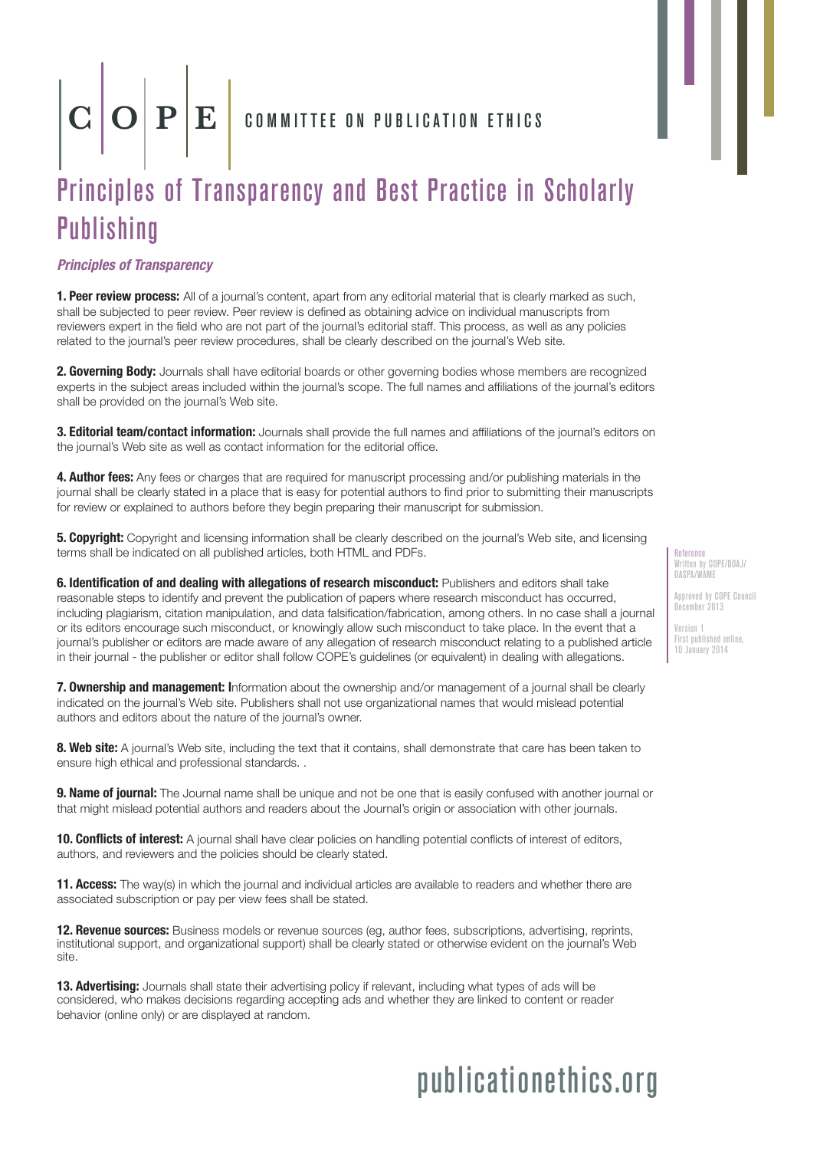## $\mathbf{C}\left|\mathbf{O}\right|\mathbf{P}\left|\mathbf{E}\right|$  committee on publication ethics

## Principles of Transparency and Best Practice in Scholarly **Publishing**

*Principles of Transparency*

**1. Peer review process:** All of a journal's content, apart from any editorial material that is clearly marked as such, shall be subjected to peer review. Peer review is defined as obtaining advice on individual manuscripts from reviewers expert in the field who are not part of the journal's editorial staff. This process, as well as any policies related to the journal's peer review procedures, shall be clearly described on the journal's Web site.

2. Governing Body: Journals shall have editorial boards or other governing bodies whose members are recognized experts in the subject areas included within the journal's scope. The full names and affiliations of the journal's editors shall be provided on the journal's Web site.

3. **Editorial team/contact information:** Journals shall provide the full names and affiliations of the journal's editors on the journal's Web site as well as contact information for the editorial office.

4. Author fees: Any fees or charges that are required for manuscript processing and/or publishing materials in the journal shall be clearly stated in a place that is easy for potential authors to find prior to submitting their manuscripts for review or explained to authors before they begin preparing their manuscript for submission.

**5. Copyright:** Copyright and licensing information shall be clearly described on the journal's Web site, and licensing terms shall be indicated on all published articles, both HTML and PDFs.

6. Identification of and dealing with allegations of research misconduct: Publishers and editors shall take reasonable steps to identify and prevent the publication of papers where research misconduct has occurred, including plagiarism, citation manipulation, and data falsification/fabrication, among others. In no case shall a journal or its editors encourage such misconduct, or knowingly allow such misconduct to take place. In the event that a journal's publisher or editors are made aware of any allegation of research misconduct relating to a published article in their journal - the publisher or editor shall follow COPE's guidelines (or equivalent) in dealing with allegations.

7. Ownership and management: Information about the ownership and/or management of a journal shall be clearly indicated on the journal's Web site. Publishers shall not use organizational names that would mislead potential authors and editors about the nature of the journal's owner.

8. Web site: A journal's Web site, including the text that it contains, shall demonstrate that care has been taken to ensure high ethical and professional standards. .

9. Name of journal: The Journal name shall be unique and not be one that is easily confused with another journal or that might mislead potential authors and readers about the Journal's origin or association with other journals.

10. Conflicts of interest: A journal shall have clear policies on handling potential conflicts of interest of editors, authors, and reviewers and the policies should be clearly stated.

**11. Access:** The way(s) in which the journal and individual articles are available to readers and whether there are associated subscription or pay per view fees shall be stated.

12. Revenue sources: Business models or revenue sources (eg, author fees, subscriptions, advertising, reprints, institutional support, and organizational support) shall be clearly stated or otherwise evident on the journal's Web site.

13. Advertising: Journals shall state their advertising policy if relevant, including what types of ads will be considered, who makes decisions regarding accepting ads and whether they are linked to content or reader behavior (online only) or are displayed at random.

## publicationethics.org

Reference Written by COPE/DOAJ/ OASPA/WAME

Approved by COPE Council December 2013

Version 1 First published online, 10 January 2014